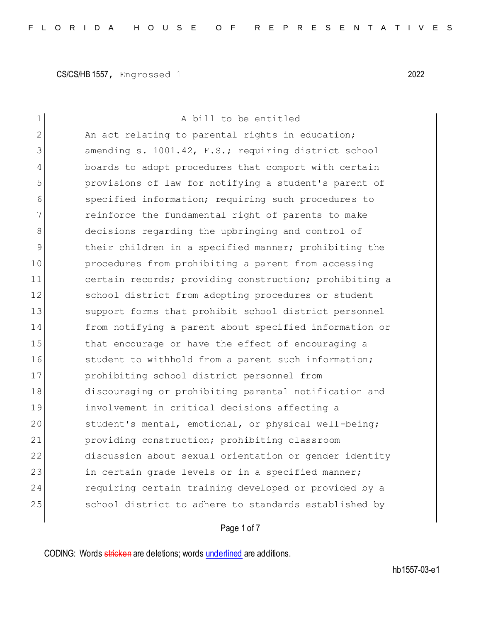| 1  | A bill to be entitled                                  |
|----|--------------------------------------------------------|
| 2  | An act relating to parental rights in education;       |
| 3  | amending s. 1001.42, F.S.; requiring district school   |
| 4  | boards to adopt procedures that comport with certain   |
| 5  | provisions of law for notifying a student's parent of  |
| 6  | specified information; requiring such procedures to    |
| 7  | reinforce the fundamental right of parents to make     |
| 8  | decisions regarding the upbringing and control of      |
| 9  | their children in a specified manner; prohibiting the  |
| 10 | procedures from prohibiting a parent from accessing    |
| 11 | certain records; providing construction; prohibiting a |
| 12 | school district from adopting procedures or student    |
| 13 | support forms that prohibit school district personnel  |
| 14 | from notifying a parent about specified information or |
| 15 | that encourage or have the effect of encouraging a     |
| 16 | student to withhold from a parent such information;    |
| 17 | prohibiting school district personnel from             |
| 18 | discouraging or prohibiting parental notification and  |
| 19 | involvement in critical decisions affecting a          |
| 20 | student's mental, emotional, or physical well-being;   |
| 21 | providing construction; prohibiting classroom          |
| 22 | discussion about sexual orientation or gender identity |
| 23 | in certain grade levels or in a specified manner;      |
| 24 | requiring certain training developed or provided by a  |
| 25 | school district to adhere to standards established by  |
|    |                                                        |

# Page 1 of 7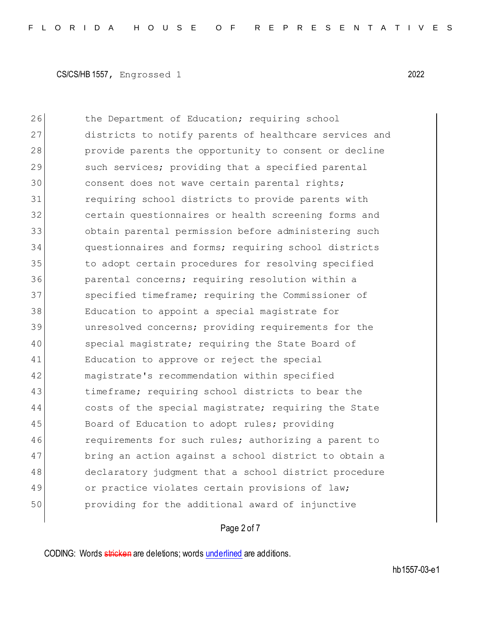26 the Department of Education; requiring school 27 districts to notify parents of healthcare services and 28 provide parents the opportunity to consent or decline 29 such services; providing that a specified parental 30 consent does not wave certain parental rights; 31 requiring school districts to provide parents with 32 certain questionnaires or health screening forms and 33 obtain parental permission before administering such 34 questionnaires and forms; requiring school districts 35 to adopt certain procedures for resolving specified 36 parental concerns; requiring resolution within a 37 specified timeframe; requiring the Commissioner of 38 Education to appoint a special magistrate for 39 unresolved concerns; providing requirements for the 40 special magistrate; requiring the State Board of 41 Education to approve or reject the special 42 magistrate's recommendation within specified 43 timeframe; requiring school districts to bear the 44 costs of the special magistrate; requiring the State 45 Board of Education to adopt rules; providing 46 requirements for such rules; authorizing a parent to 47 bring an action against a school district to obtain a 48 declaratory judgment that a school district procedure 49 or practice violates certain provisions of law; 50 providing for the additional award of injunctive

#### Page 2 of 7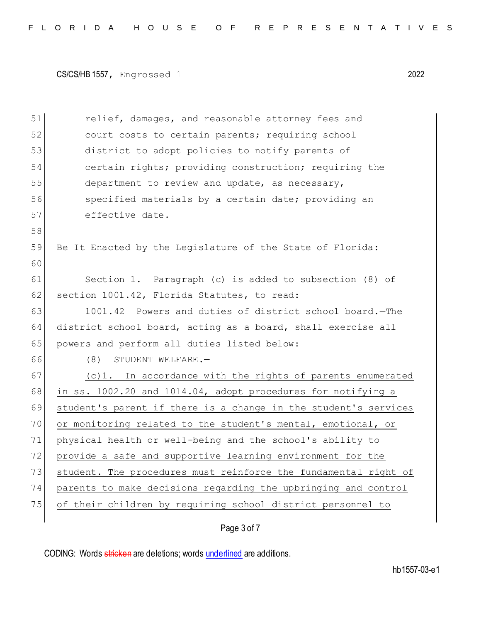| 51 | relief, damages, and reasonable attorney fees and               |
|----|-----------------------------------------------------------------|
| 52 | court costs to certain parents; requiring school                |
| 53 | district to adopt policies to notify parents of                 |
| 54 | certain rights; providing construction; requiring the           |
| 55 | department to review and update, as necessary,                  |
| 56 | specified materials by a certain date; providing an             |
| 57 | effective date.                                                 |
| 58 |                                                                 |
| 59 | Be It Enacted by the Legislature of the State of Florida:       |
| 60 |                                                                 |
| 61 | Section 1. Paragraph (c) is added to subsection (8) of          |
| 62 | section 1001.42, Florida Statutes, to read:                     |
| 63 | 1001.42 Powers and duties of district school board. - The       |
| 64 | district school board, acting as a board, shall exercise all    |
| 65 | powers and perform all duties listed below:                     |
| 66 | (8)<br>STUDENT WELFARE.-                                        |
| 67 | (c)1. In accordance with the rights of parents enumerated       |
| 68 | in ss. 1002.20 and 1014.04, adopt procedures for notifying a    |
| 69 | student's parent if there is a change in the student's services |
| 70 | or monitoring related to the student's mental, emotional, or    |
| 71 | physical health or well-being and the school's ability to       |
| 72 | provide a safe and supportive learning environment for the      |
| 73 | student. The procedures must reinforce the fundamental right of |
| 74 | parents to make decisions regarding the upbringing and control  |
| 75 | of their children by requiring school district personnel to     |
|    |                                                                 |

# Page 3 of 7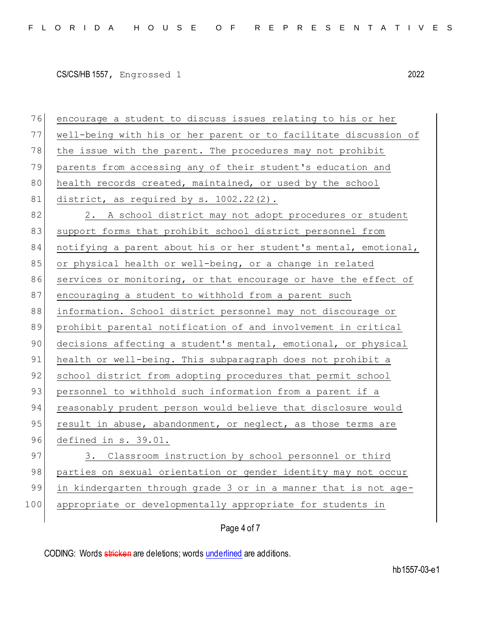76 encourage a student to discuss issues relating to his or her 77 well-being with his or her parent or to facilitate discussion of 78 | the issue with the parent. The procedures may not prohibit 79 parents from accessing any of their student's education and 80 health records created, maintained, or used by the school 81 district, as required by s.  $1002.22(2)$ . 82 2. A school district may not adopt procedures or student 83 support forms that prohibit school district personnel from 84 notifying a parent about his or her student's mental, emotional, 85 or physical health or well-being, or a change in related 86 services or monitoring, or that encourage or have the effect of 87 encouraging a student to withhold from a parent such 88 information. School district personnel may not discourage or 89 prohibit parental notification of and involvement in critical 90 decisions affecting a student's mental, emotional, or physical 91 health or well-being. This subparagraph does not prohibit a 92 school district from adopting procedures that permit school 93 personnel to withhold such information from a parent if a 94 reasonably prudent person would believe that disclosure would 95 result in abuse, abandonment, or neglect, as those terms are 96 defined in s. 39.01. 97 3. Classroom instruction by school personnel or third 98 parties on sexual orientation or gender identity may not occur 99 in kindergarten through grade 3 or in a manner that is not age-100 appropriate or developmentally appropriate for students in

#### Page 4 of 7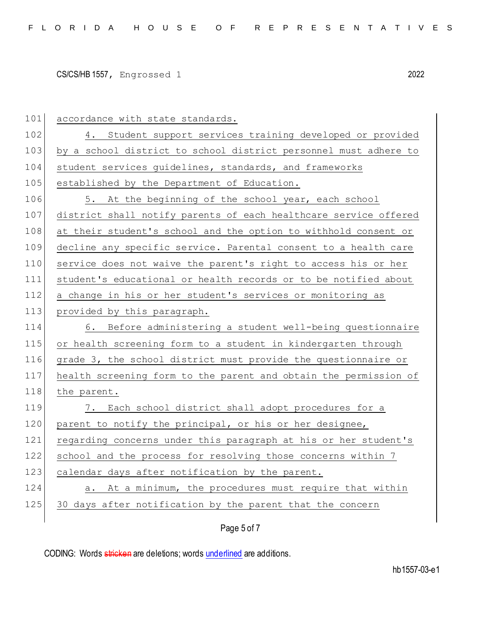| 101 | accordance with state standards.                                 |
|-----|------------------------------------------------------------------|
| 102 | 4. Student support services training developed or provided       |
| 103 | by a school district to school district personnel must adhere to |
| 104 | student services guidelines, standards, and frameworks           |
| 105 | established by the Department of Education.                      |
| 106 | 5. At the beginning of the school year, each school              |
| 107 | district shall notify parents of each healthcare service offered |
| 108 | at their student's school and the option to withhold consent or  |
| 109 | decline any specific service. Parental consent to a health care  |
| 110 | service does not waive the parent's right to access his or her   |
| 111 | student's educational or health records or to be notified about  |
| 112 | a change in his or her student's services or monitoring as       |
| 113 | provided by this paragraph.                                      |
|     |                                                                  |
| 114 | 6. Before administering a student well-being questionnaire       |
| 115 | or health screening form to a student in kindergarten through    |
| 116 | grade 3, the school district must provide the questionnaire or   |
| 117 | health screening form to the parent and obtain the permission of |
| 118 | the parent.                                                      |
| 119 | 7. Each school district shall adopt procedures for a             |
| 120 | parent to notify the principal, or his or her designee,          |
| 121 | regarding concerns under this paragraph at his or her student's  |
| 122 | school and the process for resolving those concerns within 7     |
| 123 | calendar days after notification by the parent.                  |
| 124 | At a minimum, the procedures must require that within<br>a.      |
| 125 | 30 days after notification by the parent that the concern        |

# Page 5 of 7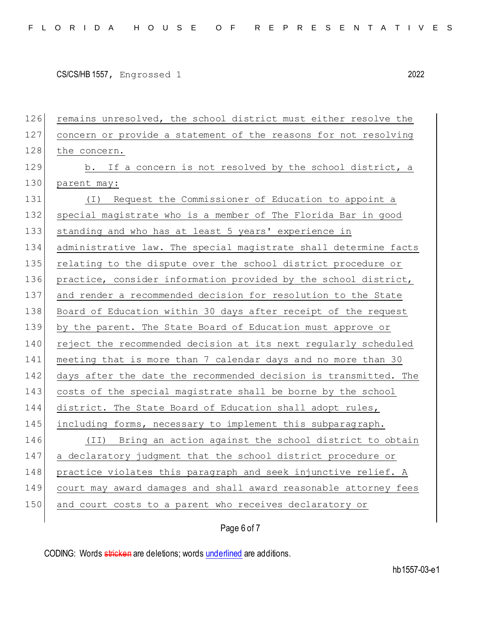126 remains unresolved, the school district must either resolve the 127 concern or provide a statement of the reasons for not resolving 128 the concern. 129 b. If a concern is not resolved by the school district, a 130 parent may: 131 (I) Request the Commissioner of Education to appoint a 132 special magistrate who is a member of The Florida Bar in good 133 standing and who has at least 5 years' experience in 134 administrative law. The special magistrate shall determine facts 135 relating to the dispute over the school district procedure or 136 practice, consider information provided by the school district, 137 and render a recommended decision for resolution to the State 138 Board of Education within 30 days after receipt of the request 139 by the parent. The State Board of Education must approve or 140 reject the recommended decision at its next reqularly scheduled 141 meeting that is more than 7 calendar days and no more than 30 142 days after the date the recommended decision is transmitted. The 143 costs of the special magistrate shall be borne by the school 144 district. The State Board of Education shall adopt rules, 145 including forms, necessary to implement this subparagraph. 146 (II) Bring an action against the school district to obtain 147 a declaratory judgment that the school district procedure or 148 practice violates this paragraph and seek injunctive relief. A 149 court may award damages and shall award reasonable attorney fees 150 and court costs to a parent who receives declaratory or

#### Page 6 of 7